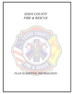# *EDDY COUNTY FIRE & RESCUE* COUNTY CDDY

*PLAN SUBMITTAL INFORMATION*

ERE & RESCU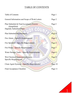## TABLE OF CONTENTS

| Table of Contents                                           | Page 1    |
|-------------------------------------------------------------|-----------|
| General Information and Scope of Work Letters               | Page 2    |
| Plan Submittal & Final Acceptance Process<br>(Simplified)   | Page 3    |
| Digitally Submitted Plans                                   |           |
| Plan Submittal Requirements                                 | Page 4    |
| Fire Alarm - Specific Requirements                          | Page 5    |
| Fire Sprinkler – Specific Requirements                      | Page 6    |
| Fire Pump – Specific Requirements                           | Page 7    |
| Water Storage Tanks - Specific Requirements                 | Page 8    |
| Wet Chemical Suppression Systems -<br>Specific Requirements | Page 9    |
| Clean Agent Systems - Specific Requirements                 | Page $10$ |
| <b>Final Acceptance Checklist</b>                           | Page 11   |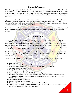#### **General Information**

All applicants providing submittal of plans for any fire protection system shall possess a valid Certificate of Fitness from the New Mexico State Fire Marshal's Office (SFMO) in accordance with NMAC 10.25.2. A copy of the Certificate of Fitness shall be present on any job site where any installation, inspection, or maintenance of a fire protection system is being conducted. The original shall be placed in a conspicuous location at the main office.

If your company does not possess a valid Certificate of Fitness, you may contact the New Mexico State Fire Marshal's Office at (505) 476-0080 or online at [https://www.nmdhsem.org/state-firemarshal/code](http://nmprc.state.nm.us/state-firemarshal/code-enforcement/index.html)[enforcement/#code to o](http://nmprc.state.nm.us/state-firemarshal/code-enforcement/index.html)btain an application form. If you are aware of a company performing work without a Certificate of Fitness, please report this to our office.

A valid Certificate of Fitness, along with the original signed and approved plans or Scope of Work letter shall be on-site whenever any installation, modification or alterations are being conducted on fire protection systems.

#### **Scope of Work Letter**

Applicants may submit a Scope of Work Letter to be reviewed and approved by the Eddy County Fire Marshal. The intent of a Scope of Work Letter is to allow for fire protection systems to be modified or altered when only minor changes are to be made, which do not cause a significant change to the originally approved design. Many factors are considered prior to approving the acceptance of a Scope of Work Letter. Customarily, alterations to fire protection systems with 10 or less appliances, or a fire sprinkler system with 19 heads or less, may be eligible to obtain a Scope of Work Letter.

A NM Licensed PE stamp is not required. Documented findings of review and analysis of the system, with requested alterations, shall be conducted and certified by a minimum of a NICET Level III for the respective system (excluding wet chemical extinguishing systems).

A Scope of Work Letter shall be submitted, on company letterhead, with the following information:

- 1. Date submitted
- 2. Complete name of the building and/or Project
- 3. Complete physical address, to include city, county, state, and zip code of job site.
- 4. Occupancy Classification per IFC 2015.
- 5. Occupant load of building or specific areas.
- 6. Square footage of each firearea(s).
- 7. Name of Fire Protection Installer with full address and telephone number.
- 8. Fire Protection Installer Point of Contact name, title, direct telephone number, and email address.
- 9. The NICET certified party name, certification number, expiration date of certification, and signed initials shall be on the plans.
- 10. All manufacturer specificationsheets.
- 11. Scope of Work and applicable notes.
- 12. Number of devices or appliances to be altered, installed, orrelocated.
- 13. An area designated to sign upon approval shall be provided. This area shall include a line for the date, title, printed name, and signature from this office.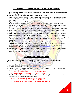#### **Plan Submittal and Final Acceptance Process (Simplified)**

- Plans submitted to Eddy County Fire & Rescue must be submitted in digital pdf format. Email plans to [jzuniga@eddycofire.org.](mailto:jzuniga@eddycofire.org)
- Also see *Electronically Submitted Plans* section of this document.
- $\checkmark$  Upon approval, an electronic copy will be emailed to the address provided. A minimum of 2 color copies of the plans, along with the acceptance letter, shall be printed and available at time of Final Acceptance.
- $\checkmark$  Upon receipt, plans are received and entered in the database.
- $\checkmark$  Plans are reviewed on a first come, first serve basis. Plans are either stamped as APPROVED, APPROVED WITH EXCEPTIONS, or REJECTED. If plans do not contain the required information (please see Plan Submittal Requirements), they will be rejected. Plans customarily do not take in excess of 15 business days to review, however, there may be delays due to increased plan submittals.
- Installation, modifications, or alterations to a fire protection system shall not begin until such time that the plans have been stamped as reviewed and approved by Eddy County Fire & Rescue.
- $\checkmark$  Once fire protection systems have been installed in accordance with the plans, a full pre-test shall be conducted in accordance with NFPA standards. If failures exist, the system(s) shall be corrected and pre-tested until such time that they pass successfully. Note: If there are multiple fire protection systems, all shall be pre-tested and function properly and in accordance with all applicable laws, codes, and standards.
- If a phased project, or a project with numerous fire protection systems, all representatives shall be contacted and verified by the superintendent, general contractor, or project manager to ensure all systems have been properly tested, pass, and are ready to schedule a Final Acceptance Test.
- Complete *Final Acceptance Checklist* and e-mail to [jzuniga@eddycofire.org](mailto:jzuniga@eddycofire.org)
- $\checkmark$  An ECFR employee will then be dispatched to [conduct a Final Acceptance Test at a d](mailto:sfmo.inspections@state.nm.us)etermined date and time. Approved/stamped plans, manufacturer specifications, testing documentation, and a representative from each system to be tested shall be on site.

#### **Electronically Submitted Plans**

Electronically submitted plans shall contain all the necessary information in the *Plan Submittal Requirement* section of this document, and the following:

- $\checkmark$  Only one electronic copy may be submitted per email.
- Electronic files shall be e-mailed to  $izuniga@eddycofire.org$
- $\checkmark$  Subject of email shall be the Project Name, County, City, and indication of fire protection system to be tested. Example is as follows:
	- o John Doe Elementary, San Miguel, Las Vegas, Fire Alarm
	- o Jane Doe Senior Center, McKinley, Gallup, Fire Sprinkler
- $\checkmark$  The electronic file shall be named as follows: Project name, Revision, Date submitted, and initials of fire protection system. Examples are as follows:
	- o John DoeElementary, Initial, 09.02.2019, FA(fire alarm)
	- o John Doe Elementary, Revision 3, 11.12.2019, FA
	- o Jane Doe Senior Center, Revision, 08.01.2019, FS(fire sprinkler)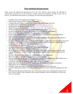#### **Plan Submittal Requirements**

Eddy County has adopted the International Fire Code, 2015 Edition, which requires the submittal of construction documents for all fire protection systems within the jurisdiction of Eddy County Fire & Rescue. All submittals shall include, at a minimum, all of the following information:

- o Complete name of the building and/orProject
- o PSFA Project Name and PSFA Number, if applicable.
- o Complete physical address, to include city, county, state, and zip code of job site.
- o Occupancy(ies) Classification(s) per IFC2015.
- o Occupant load of building or specific areas.
- o Square footage of each firearea(s).
- o All fire protection system(s) installed or to be installed, and location.
- o Elevator locations, new or existing, and whether or not Firefighter Recall equipped.
- o Name of Fire Protection Installer with full address and telephone number.
- o Fire Protection Installer Point of Contact name, title, direct telephone number, and email address.
- o NM Certificate of Fitness License Number.
- o NM Licensed Professional Engineer stamp with original signature on each page. Signature shall be in other than black ink or signed digitally.
- o Designers shall be a minimum of a NICET Level III or higher for water-based fire protection systems and fire alarm system design. The NICET certified party name, certification number, expiration date of certification, and signed initials shall be on the plans.
- o Scope of Work with applicablenotes.
- $\circ$  Each page shall provide a minimum of 3x5" box to apply ECFR stamp.
- o Plans shall include a scale and indicate a north arrow.
- $\circ$  Device legend and symbols in accordance with NFPA 170, or other symbols approved by the AHJ.<br> $\circ$  Legend shall indicate a symbol for each device, appliance, or appurtenance related to fire protection
- Legend shall indicate a symbol for each device, appliance, or appurtenance related to fire protection systems.
- o Site Plan with specific areas of work, no-work, and phased work, if applicable.
- o Phase work shall be included on separate sheets of submitted plans.
- o Floor plan shall indicate location of all fire protection system(s) and appurtenances, and whether new or existing, full, or partial, and indicate if at other than ground level.
- o 1 electronic copy shall be submitted. Hard copies will not be accepted.
- o Digital plans shall be submitted in PDF. Digital plans shall include all necessary information.
- $\circ$  Digital plans may be submitted to [jzuniga@eddycofire.org](mailto:jzuniga@eddycofire.org)
- o All indoor rooms and outdoor areas shall be properly identified by name and/or use.
- o Location, labeling and number of all [alarm-initiating](mailto:SFMO.plans@state.nm.us) devices and alarm notification appliances on floor plan.
- o Drawings and calculations shall clearly show a floor plan of each story, indicating the location of all exits, areas of refuge, walls, partitions, and fire rated assemblies, and the intended use of each area, room, or void space.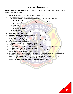#### **Fire Alarm - Requirements**

All submittals for fire alarm installations shall include what is required in the Plan Submittal Requirements and the following information:

- 1. Designed in accordance with NFPA 72, 2013 Edition ornewer
- 2. Type and classification of fire alarm system wiring.
- 3. Riser Diagram with single line riser diagram for devices on the fire alarm system for:
	- a. Initiating devices
	- b. Notification appliances with candela ratings and mounting selection
	- c. Elevator recall
	- d. Door hold open devices
	- e. Access control devices
	- f. Egress control devices
	- g. Module relays
	- h. Indication whether new or existing on each appliance or appurtenance
- 4. Sequence of Operations diagram
- 5. Fire alarm equipment and/or manufacturer specifications.
- 6. Communicator selection and location
- 7. Fire Document box location.
- 8. Approved signage indicating "Fire Alarm Control Panel locatedinside".
- 9. Source of primary and secondary power.
- 10. Battery and voltage drop calculations, if applicable.
- 11. HVAC units that are rated over 2,000 CFM shall have duct detection.
- 12. All fire protection and life safety systems such as water supply tanks, fire pumps, generators shall be monitored by the fire alarm control panel.
- 13. Fire Alarm Control Panel shall be installed in an approved location. Note: An annunciator may be required at an approved location by the fire code official.
- 14. A Record of Completion, as outlined in NFPA 72 2013 Edition, shall be provided by the installing contractor prior to requesting to schedule for a Final Acceptance Test.
- 15. Where field conditions necessitate any changes from the approved plans, a set of amended construction documents, often referred to as "as-builts", shall be submitted for review and approval. These plans shall comply with all plan submittal requirements.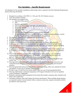#### **Fire Sprinkler – Specific Requirements**

All submittals for fire sprinkler installations shall include what is required in the Plan Submittal Requirements and the following information:

- 1. Designed in accordance with NFPA 13, 13R, and 13D, 2013 Edition ornewer
- 2. Type and schedule of piping
- 3. Fire sprinkler riser diagram with:
	- a. Inlet from below ground
	- b. FDC
	- c. Backflow preventer(s)
	- d. Indicating valves (supply, test valves and drainvalves)
	- e. Water flow switches
	- f. Main drain valve
	- g. Standpipes
	- h. Fire hydrants, to include hydrants used to perform flow tests.
	- i. All specifications for valves, backflow preventers, piping, victaulic connectors, seismic bracing, hangars, sprinkler heads, escutcheons, flex pipes, etc.
- 4. Fire sprinkler equipment and/or manufacturer specifications.
- 5. Indication of water source(s).
- 6. Hydraulic calculations with a minimum of 10% safetyfactor.
- 7. Location of connected systems such as water supply tanks, fire pumps, and generators.
- 8. System riser detail shall include spare sprinkler box, appropriate number of sprinkler heads, sleeve with appropriate nominal spacing at the base of the riser, and approved signage indicating "Fire Sprinkler Riser Room".
- 9. A signed above- and below-ground test certificates, as outlined in NFPA 13 2013 Edition, shall be provided by the installing contractor prior to requesting to schedule for a Final Acceptance Test.
- 10. Where field conditions necessitate any changes from the approved plans, a set of amended construction documents, often referred to as "as-builts", shall be submitted for review and approval. These plans shall comply with all plan submittal requirements.
- 11. Drawings shall clearly indicate total area, expressed in square feet, per floor protected by each system riser.
- 12. Drawings shall include full height cross-section elevation detail(s) indicating construction, and vertical/horizontal distances of sprinklers relative to underside of roof/ceiling and structural members.
- 13. Drawing legend shall indicate the manufacturer, temperature rating, orifice size, hydraulic K-Factor, and quantity of each type of sprinkler to be installed.
- 14. Provide a copy of water flow test results (dated within one year of drawingsubmittal date).
- 15. Drawings shall indicate a minimum temperature of 40 degrees Fahrenheit will exist for sprinkler system installation, if applicable.
- 16. Hydraulic calculations shall be prepared on form sheets that include a summary sheet, detailed work sheets, and a graph sheet.
- 17. Calculation summary sheet shall indicate the hazard classification. When multiple design densities are required to protect various hazards within a common system area, separate calculations shall be provided for each hazard area.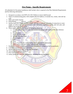#### **Fire Pump – Specific Requirements**

All submittals for fire pump installations shall include what is required in the Plan Submittal Requirements and the following information:

- 1. Designed in accordance with NFPA 20, 2013 Edition or newer shall be used
- 2. Name of commissioning party with complete physical address, to include city, county, state and zip code
- 3. Make and model of pump
- 4. Pump Rating gpm @ psi rpm
- 5. Suction main size, length, location, weight, and type of material, and point of connection to water supply, as well as size, and type of valves, valve indicators, regulators, meters, and valve pits, and depth to top of pipe below grade.
- 6. Water supply capacity information including the following:
	- a. Location and elevation of static and residual test gauge with relation to the riser reference point

7

- b. Flow location
- c. Static pressure, in psi
- d. Residual pressure, in psi
- e. Flow, in gpm
- f. Date
- g. Time
- h. Name of person who conducted the test or supplied the information
- i. Other sources of water supply, with pressure or elevation
- 7. Pump driver details including manufacturer, horsepower, voltage, or fuel system details
- 8. Controller manufacturer, type, and rating
- 9. Suction and discharge pipe, fitting, and valve types
- 10. Test connection piping and valves
- 11. Flow meter details (if used)
- 12. Jockey pump and controller arrangement, including sensing linedetails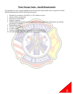#### **Water Storage Tanks – SpecificRequirements**

All submittals for water storage installations for fire protection shall include what is required in the Plan Submittal Requirements and the following information:

- 1. Designed in accordance with NFPA 22, 2013 Edition or newer
- 2. Above or below ground tank
- 3. Insulated or non-insulated
- 4. Capacity in gallons
- 5. Whether dedicated primarily for fire suppression, or fire suppression and domestic use (include percentages or gallons)
- 6. Replenishment rate
- 7. Location of fire hydrant
- 8. Location of FDC
- 9. Location of water temperature and water level sensing devices
- 10. All technical data pertinent to the storage tank shall beincluded

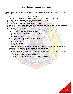#### **Wet Chemical Suppression Systems**

All submittals for wet chemical suppression system installations shall include what is required in the Plan Submittal Requirements and the following information:

- 1. Designed in accordance with NFPA 17A, 2013 Edition or newer
- 2. Show hood and duct dimensions (length, width, and height in inches) in relation to room
- 3. Appliance type, dimensions, and location in relation to hood installation.
- 4. Size, type, and number ofcylinders/tanks
- 5. Total number of flows permitted, and how many utilized.
- 6. Legend which indicates number, style, location, and temperature rating for all fusible links and nozzles
- 7. Number and location of manual pull station(s)
- 8. Number and location ofexits
- 9. Type, number, and location of automatic shut off devices and/or electrical shunts
- 10. The details on the system shall include the following:
	- a. Size, length, and arrangement of connected piping
	- b. Description and location of nozzles
	- c. Indication of elbows
- 11. Information shall be submitted pertaining to the following:
	- a. The location and function of detection devices
	- b. Operating devices
	- c. Auxiliary equipment
	- d. Electrical circuitry
- 12. Moving cooking equipment shall be provided with a means to ensure that it is correctly positioned in relation to the appliance discharge nozzle during cooking operations.
- 13. Number and location of Class K fire extinguishers
- 14. Number and location of audiovisual notification appliance. If a fire alarm system is not provided, at least one audiovisual notification appliance shall be installed in an approved location.
- 15. Manufacturer's specifications for nozzle placement
- 16. Manufacturer specification sheets/information for all appurtenances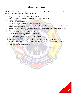#### **Clean Agent Systems**

All submittals for wet chemical suppression system installations shall include what is required in the Plan Submittal Requirements and the following information:

- 1. Designed in accordance with NFPA 2001, 2015 Edition ornewer
- 2. Size, type, number, and location of cylinders/tanks and securing method
- 3. System riser diagram
- 4. Sequence of Operation diagram
- 5. Manufacturer specifications for all appurtenances/system
- 6. Legend which indicates number, style, location, and types of all appurtenances, panels, relays, modules, nozzles, detection equipment, etc.
- 7. Whether clean agent system is networked or independently connected to an approved fire alarm system
- 8. Type, number, and location of automatic shut off devices and electrical shunts, if applicable.
- 9. The details on the system shall include the following:
	- a. Size, length, and arrangement of connected piping
	- b. Type and location ofnozzles
	- c. Scaled diagram of enclosure, to include any openings
- 10. Identification of the hazard to be protected
- 11. Notification appliances dedicated to the clean agent system shall differ in color from any existing building fire alarm devices. These appliances shall indicate "AGENT", "Clean Agent", or similar approved verbiage.

10

12. Whom shall perform the door fan test.